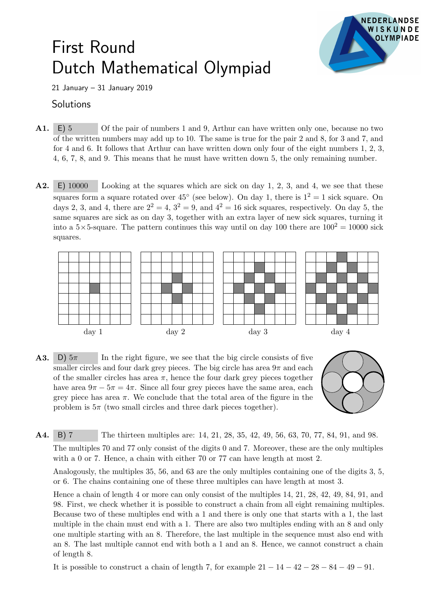## First Round Dutch Mathematical Olympiad



21 January – 31 January 2019

## **Solutions**

- A1. E) 5 Of the pair of numbers 1 and 9, Arthur can have written only one, because no two of the written numbers may add up to 10. The same is true for the pair 2 and 8, for 3 and 7, and for 4 and 6. It follows that Arthur can have written down only four of the eight numbers 1, 2, 3, 4, 6, 7, 8, and 9. This means that he must have written down 5, the only remaining number.
- A2. E) 10000 Looking at the squares which are sick on day 1, 2, 3, and 4, we see that these squares form a square rotated over  $45^{\circ}$  (see below). On day 1, there is  $1^2 = 1$  sick square. On days 2, 3, and 4, there are  $2^2 = 4$ ,  $3^2 = 9$ , and  $4^2 = 16$  sick squares, respectively. On day 5, the same squares are sick as on day 3, together with an extra layer of new sick squares, turning it into a  $5 \times 5$ -square. The pattern continues this way until on day 100 there are  $100^2 = 10000$  sick squares.







A4. B) 7 The thirteen multiples are: 14, 21, 28, 35, 42, 49, 56, 63, 70, 77, 84, 91, and 98.

The multiples 70 and 77 only consist of the digits 0 and 7. Moreover, these are the only multiples with a 0 or 7. Hence, a chain with either 70 or 77 can have length at most 2.

Analogously, the multiples 35, 56, and 63 are the only multiples containing one of the digits 3, 5, or 6. The chains containing one of these three multiples can have length at most 3.

Hence a chain of length 4 or more can only consist of the multiples 14, 21, 28, 42, 49, 84, 91, and 98. First, we check whether it is possible to construct a chain from all eight remaining multiples. Because two of these multiples end with a 1 and there is only one that starts with a 1, the last multiple in the chain must end with a 1. There are also two multiples ending with an 8 and only one multiple starting with an 8. Therefore, the last multiple in the sequence must also end with an 8. The last multiple cannot end with both a 1 and an 8. Hence, we cannot construct a chain of length 8.

It is possible to construct a chain of length 7, for example  $21 - 14 - 42 - 28 - 84 - 49 - 91$ .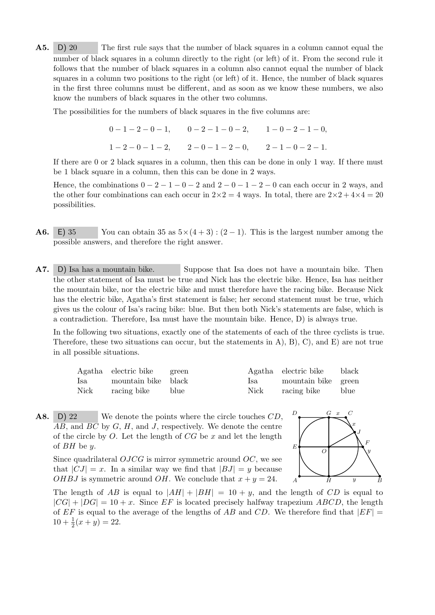A5. D) 20 The first rule says that the number of black squares in a column cannot equal the number of black squares in a column directly to the right (or left) of it. From the second rule it follows that the number of black squares in a column also cannot equal the number of black squares in a column two positions to the right (or left) of it. Hence, the number of black squares in the first three columns must be different, and as soon as we know these numbers, we also know the numbers of black squares in the other two columns.

The possibilities for the numbers of black squares in the five columns are:

$$
0-1-2-0-1, \qquad 0-2-1-0-2, \qquad 1-0-2-1-0,
$$
  

$$
1-2-0-1-2, \qquad 2-0-1-2-0, \qquad 2-1-0-2-1.
$$

If there are 0 or 2 black squares in a column, then this can be done in only 1 way. If there must be 1 black square in a column, then this can be done in 2 ways.

Hence, the combinations  $0 - 2 - 1 - 0 - 2$  and  $2 - 0 - 1 - 2 - 0$  can each occur in 2 ways, and the other four combinations can each occur in  $2\times2=4$  ways. In total, there are  $2\times2+4\times4=20$ possibilities.

- **A6.** E) 35 You can obtain 35 as  $5 \times (4+3) : (2-1)$ . This is the largest number among the possible answers, and therefore the right answer.
- A7. D) Isa has a mountain bike. Suppose that Isa does not have a mountain bike. Then the other statement of Isa must be true and Nick has the electric bike. Hence, Isa has neither the mountain bike, nor the electric bike and must therefore have the racing bike. Because Nick has the electric bike, Agatha's first statement is false; her second statement must be true, which gives us the colour of Isa's racing bike: blue. But then both Nick's statements are false, which is a contradiction. Therefore, Isa must have the mountain bike. Hence, D) is always true.

In the following two situations, exactly one of the statements of each of the three cyclists is true. Therefore, these two situations can occur, but the statements in  $(A), B), C$ , and  $E)$  are not true in all possible situations.

|      | Agatha electric bike green |      |       | Agatha electric bike | black |
|------|----------------------------|------|-------|----------------------|-------|
| Isa  | mountain bike black        |      | lsa — | mountain bike green  |       |
| Nick | racing bike                | blue | Nick  | racing bike          | blue  |

A8. D) 22 We denote the points where the circle touches CD.  $\overline{AB}$ , and  $\overline{BC}$  by  $G$ ,  $H$ , and  $J$ , respectively. We denote the centre of the circle by  $O$ . Let the length of  $CG$  be  $x$  and let the length of BH be y.

Since quadrilateral  $OJCG$  is mirror symmetric around  $OC$ , we see that  $|CJ| = x$ . In a similar way we find that  $|BJ| = y$  because *OHBJ* is symmetric around *OH*. We conclude that  $x + y = 24$ .



The length of AB is equal to  $|AH| + |BH| = 10 + y$ , and the length of CD is equal to  $|CG| + |DG| = 10 + x$ . Since EF is located precisely halfway trapezium ABCD, the length of EF is equal to the average of the lengths of AB and CD. We therefore find that  $|EF|$  =  $10 + \frac{1}{2}(x + y) = 22.$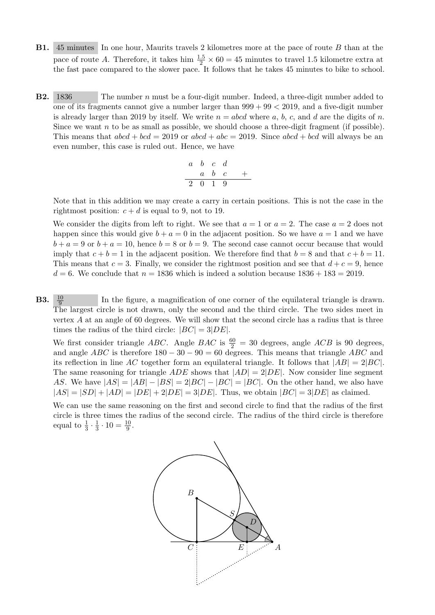- B1. 45 minutes In one hour, Maurits travels 2 kilometres more at the pace of route B than at the pace of route A. Therefore, it takes him  $\frac{1.5}{2} \times 60 = 45$  minutes to travel 1.5 kilometre extra at the fast pace compared to the slower pace. It follows that he takes 45 minutes to bike to school.
- B2. 1836 The number n must be a four-digit number. Indeed, a three-digit number added to one of its fragments cannot give a number larger than  $999 + 99 < 2019$ , and a five-digit number is already larger than 2019 by itself. We write  $n = abcd$  where a, b, c, and d are the digits of n. Since we want n to be as small as possible, we should choose a three-digit fragment (if possible). This means that  $abcd + bcd = 2019$  or  $abcd + abc = 2019$ . Since  $abcd + bcd$  will always be an even number, this case is ruled out. Hence, we have

$$
\begin{array}{c|ccccc}\n & a & b & c & d \\
\hline\n & a & b & c & + \\
\hline\n & 2 & 0 & 1 & 9\n\end{array}
$$

Note that in this addition we may create a carry in certain positions. This is not the case in the rightmost position:  $c + d$  is equal to 9, not to 19.

We consider the digits from left to right. We see that  $a = 1$  or  $a = 2$ . The case  $a = 2$  does not happen since this would give  $b + a = 0$  in the adjacent position. So we have  $a = 1$  and we have  $b + a = 9$  or  $b + a = 10$ , hence  $b = 8$  or  $b = 9$ . The second case cannot occur because that would imply that  $c + b = 1$  in the adjacent position. We therefore find that  $b = 8$  and that  $c + b = 11$ . This means that  $c = 3$ . Finally, we consider the rightmost position and see that  $d + c = 9$ , hence  $d = 6$ . We conclude that  $n = 1836$  which is indeed a solution because  $1836 + 183 = 2019$ .

**B3.**  $\frac{10}{2}$ In the figure, a magnification of one corner of the equilateral triangle is drawn. The largest circle is not drawn, only the second and the third circle. The two sides meet in vertex  $A$  at an angle of 60 degrees. We will show that the second circle has a radius that is three times the radius of the third circle:  $|BC| = 3|DE|$ .

We first consider triangle ABC. Angle BAC is  $\frac{60}{2} = 30$  degrees, angle ACB is 90 degrees, and angle  $ABC$  is therefore  $180 - 30 - 90 = 60$  degrees. This means that triangle ABC and its reflection in line AC together form an equilateral triangle. It follows that  $|AB| = 2|BC|$ . The same reasoning for triangle ADE shows that  $|AD| = 2|DE|$ . Now consider line segment AS. We have  $|AS| = |AB| - |BS| = 2|BC| - |BC| = |BC|$ . On the other hand, we also have  $|AS| = |SD| + |AD| = |DE| + 2|DE| = 3|DE|$ . Thus, we obtain  $|BC| = 3|DE|$  as claimed.

We can use the same reasoning on the first and second circle to find that the radius of the first circle is three times the radius of the second circle. The radius of the third circle is therefore equal to  $\frac{1}{3} \cdot \frac{1}{3}$  $\frac{1}{3} \cdot 10 = \frac{10}{9}.$